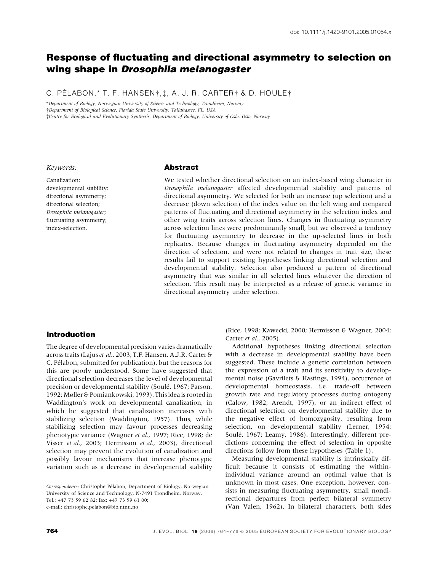# Response of fluctuating and directional asymmetry to selection on wing shape in Drosophila melanogaster

C. PÉLABON,\* T. F. HANSEN†,‡, A. J. R. CARTER† & D. HOULE†

\*Department of Biology, Norwegian University of Science and Technology, Trondheim, Norway Department of Biological Science, Florida State University, Tallahassee, FL, USA -Centre for Ecological and Evolutionary Synthesis, Department of Biology, University of Oslo, Oslo, Norway

#### Keywords:

Canalization; developmental stability; directional asymmetry; directional selection; Drosophila melanogaster; fluctuating asymmetry; index-selection.

# Abstract

We tested whether directional selection on an index-based wing character in Drosophila melanogaster affected developmental stability and patterns of directional asymmetry. We selected for both an increase (up selection) and a decrease (down selection) of the index value on the left wing and compared patterns of fluctuating and directional asymmetry in the selection index and other wing traits across selection lines. Changes in fluctuating asymmetry across selection lines were predominantly small, but we observed a tendency for fluctuating asymmetry to decrease in the up-selected lines in both replicates. Because changes in fluctuating asymmetry depended on the direction of selection, and were not related to changes in trait size, these results fail to support existing hypotheses linking directional selection and developmental stability. Selection also produced a pattern of directional asymmetry that was similar in all selected lines whatever the direction of selection. This result may be interpreted as a release of genetic variance in directional asymmetry under selection.

## Introduction

The degree of developmental precision varies dramatically across traits (Lajus et al., 2003; T.F. Hansen, A.J.R. Carter & C. Pélabon, submitted for publication), but the reasons for this are poorly understood. Some have suggested that directional selection decreases the level of developmental precision or developmental stability (Soulé, 1967; Parson, 1992; Møller & Pomiankowski, 1993). This idea is rooted in Waddington's work on developmental canalization, in which he suggested that canalization increases with stabilizing selection (Waddington, 1957). Thus, while stabilizing selection may favour processes decreasing phenotypic variance (Wagner et al., 1997; Rice, 1998; de Visser et al., 2003; Hermisson et al., 2003), directional selection may prevent the evolution of canalization and possibly favour mechanisms that increase phenotypic variation such as a decrease in developmental stability

(Rice, 1998; Kawecki, 2000; Hermisson & Wagner, 2004; Carter et al., 2005).

Additional hypotheses linking directional selection with a decrease in developmental stability have been suggested. These include a genetic correlation between the expression of a trait and its sensitivity to developmental noise (Gavrilets & Hastings, 1994), occurrence of developmental homeostasis, i.e. trade-off between growth rate and regulatory processes during ontogeny (Calow, 1982; Arendt, 1997), or an indirect effect of directional selection on developmental stability due to the negative effect of homozygosity, resulting from selection, on developmental stability (Lerner, 1954; Soulé, 1967; Leamy, 1986). Interestingly, different predictions concerning the effect of selection in opposite directions follow from these hypotheses (Table 1).

Measuring developmental stability is intrinsically difficult because it consists of estimating the withinindividual variance around an optimal value that is unknown in most cases. One exception, however, consists in measuring fluctuating asymmetry, small nondirectional departures from perfect bilateral symmetry (Van Valen, 1962). In bilateral characters, both sides

Correspondence: Christophe Pélabon, Department of Biology, Norwegian University of Science and Technology, N-7491 Trondheim, Norway. Tel.: +47 73 59 62 82; fax: +47 73 59 61 00; e-mail: christophe.pelabon@bio.ntnu.no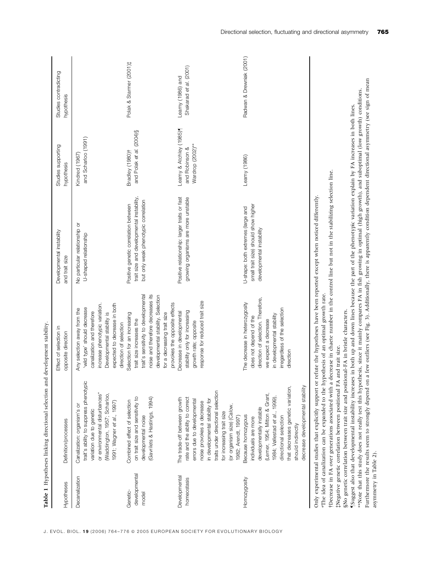|                                    | m tronomice mirroring arriving the product                                                                                                                                                                                                                                                                 |                                                                                                                                                                                                                                            |                                                                                                                                                                                                                                                                                                                                                                                                                                                                                                                                                                                                                                                                                                                                                                          |                                                              |                                            |
|------------------------------------|------------------------------------------------------------------------------------------------------------------------------------------------------------------------------------------------------------------------------------------------------------------------------------------------------------|--------------------------------------------------------------------------------------------------------------------------------------------------------------------------------------------------------------------------------------------|--------------------------------------------------------------------------------------------------------------------------------------------------------------------------------------------------------------------------------------------------------------------------------------------------------------------------------------------------------------------------------------------------------------------------------------------------------------------------------------------------------------------------------------------------------------------------------------------------------------------------------------------------------------------------------------------------------------------------------------------------------------------------|--------------------------------------------------------------|--------------------------------------------|
| Hypotheses                         | Definition/processes                                                                                                                                                                                                                                                                                       | Effect of selection in<br>opposite direction                                                                                                                                                                                               | Developmental instability<br>and trait size                                                                                                                                                                                                                                                                                                                                                                                                                                                                                                                                                                                                                                                                                                                              | Studies supporting<br>hypothesis                             | Studies contradicting<br>hypothesis        |
| Decanalization                     | trait's ability to suppress phenotypic<br>or environmental disturbances*<br>(Waddington, 1957; Scharloo,<br>1991; Wagner <i>et al.</i> , 1997)<br>Canalization: organism's or<br>variation due to genetic                                                                                                  | increase phenotypic variation.<br>expected to decrease in both<br>'wild type' should decrease<br>Any selection away from the<br>canalization and therefore<br>Developmental stability is<br>direction of selection                         | No particular relationship or<br>U-shaped relationship                                                                                                                                                                                                                                                                                                                                                                                                                                                                                                                                                                                                                                                                                                                   | and Scharloo (1991)<br>Kindred (1967)                        |                                            |
| developmental<br>Genetic-<br>model | (Gavrilets & Hastings, 1994)<br>on trait size and sensitivity to<br>Combined effect of selection<br>developmental noise                                                                                                                                                                                    | trait's sensitivity to developmental<br>noise and therefore decreases its<br>developmental stability. Selection<br>provokes the opposite effects<br>for a decreasing trait size<br>Selection for an increasing<br>trait size increases the | trait size and developmental instability,<br>but only weak phenotypic correlation<br>Positive genetic correlation between                                                                                                                                                                                                                                                                                                                                                                                                                                                                                                                                                                                                                                                | and Polak et al. (2004)§<br>Bradley (1980)†                  | Polak & Starmer (2001);                    |
| Developmental<br>homeostasis       | traits under directional selection<br>The trade-off between growth<br>rate and the ability to correct<br>in developmental stability for<br>errors due to developmental<br>noise provokes a decrease<br>(or organism size) (Calow,<br>for increasing trait size<br>1982; Arendt, 1997)                      | response for reduced trait size<br>stability only for increasing<br>Decrease in developmental<br>growth rate; opposite                                                                                                                     | Positive relationship: larger traits or fast<br>growing organisms are more unstable                                                                                                                                                                                                                                                                                                                                                                                                                                                                                                                                                                                                                                                                                      | Leamy & Atchley (1985)<br>Wardrop (2002)**<br>and Robinson & | Shakarad et al. (2001)<br>Leamy (1986) and |
| Homozygosity                       | decrease developmental stability<br>that decreases genetic variation,<br>(Lerner, 1954; Mitton & Grant,<br>1984; Vøllestad et a/, 1999),<br>developmentally instable<br>Because homozygous<br>directional selection<br>individuals are more<br>should indirectly                                           | direction of selection. Therefore,<br>The decrease in heterozygosity<br>irregardless of the selection<br>in developmental stability<br>does not depend of the<br>we expect a decrease<br>direction                                         | small trait size) should show higher<br>U-shape: both extremes (large and<br>developmental instability                                                                                                                                                                                                                                                                                                                                                                                                                                                                                                                                                                                                                                                                   | Leamy (1986)                                                 | Radwan & Drewniak (2001)                   |
| asymmetry in Table 2).             | *The idea of canalization can be expanded to the hypothesis of an optimal growth rate.<br>§No genetic correlation between trait size and positional-FA in bristle characters.<br>‡Negative genetic correlation between positional FA and trait size.<br>†Decrease in FA over generations associated with a |                                                                                                                                                                                                                                            | Furthermore the results seem to strongly depend on a few outliers (see Fig. 3). Additionally, there is apparently condition dependent directional asymmetry (see sign of mean<br>**Note that this study does not really test this hypothesis, since it mainly compares FA in fish growing in optimal (high growth), and suboptimal (low growth) conditions.<br><b>TSuggest also that developmental instability increases in both up and down lines because the part of the phenotypic variation explain by FA increases in both lines.</b><br>decrease in chaete number in the control line but not in the stabilizing selection line.<br>Only experimental studies that explicitly support or refute the hypotheses have been reported except when noticed differently. |                                                              |                                            |

J. EVOL. BIOL. 19 (2006) 764-776 @ 2005 EUROPEAN SOCIETY FOR EVOLUTIONARY BIOLOGY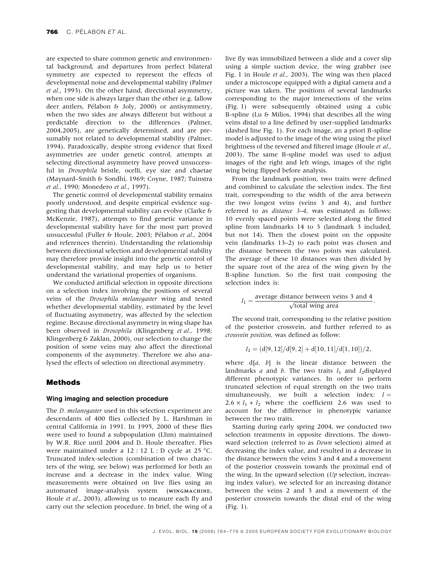are expected to share common genetic and environmental background, and departures from perfect bilateral symmetry are expected to represent the effects of developmental noise and developmental stability (Palmer et al., 1993). On the other hand, directional asymmetry, when one side is always larger than the other (e.g. fallow deer antlers, Pélabon & Joly, 2000) or antisymmetry, when the two sides are always different but without a predictable direction to the differences (Palmer, 2004,2005), are genetically determined, and are presumably not related to developmental stability (Palmer, 1994). Paradoxically, despite strong evidence that fixed asymmetries are under genetic control, attempts at selecting directional asymmetry have proved unsuccessful in Drosophila bristle, ocelli, eye size and chaetae (Maynard–Smith & Sondhi, 1969; Coyne, 1987; Tuinstra et al., 1990; Monedero et al., 1997).

The genetic control of developmental stability remains poorly understood, and despite empirical evidence suggesting that developmental stability can evolve (Clarke & McKenzie, 1987), attempts to find genetic variance in developmental stability have for the most part proved unsuccessful (Fuller & Houle, 2003; Pélabon et al., 2004 and references therein). Understanding the relationship between directional selection and developmental stability may therefore provide insight into the genetic control of developmental stability, and may help us to better understand the variational properties of organisms.

We conducted artificial selection in opposite directions on a selection index involving the positions of several veins of the Drosophila melanogaster wing and tested whether developmental stability, estimated by the level of fluctuating asymmetry, was affected by the selection regime. Because directional asymmetry in wing shape has been observed in Drosophila (Klingenberg et al., 1998; Klingenberg & Zaklan, 2000), our selection to change the position of some veins may also affect the directional components of the asymmetry. Therefore we also analysed the effects of selection on directional asymmetry.

#### Methods

#### Wing imaging and selection procedure

The *D. melanogaster* used in this selection experiment are descendants of 400 flies collected by L. Harshman in central California in 1991. In 1995, 2000 of these flies were used to found a subpopulation (Lhm) maintained by W.R. Rice until 2004 and D. Houle thereafter. Flies were maintained under a  $12:12$  L : D cycle at  $25$  °C. Truncated index-selection (combination of two characters of the wing, see below) was performed for both an increase and a decrease in the index value. Wing measurements were obtained on live flies using an automated image-analysis system (WINGMACHINE, Houle et al., 2003), allowing us to measure each fly and carry out the selection procedure. In brief, the wing of a live fly was immobilized between a slide and a cover slip using a simple suction device, the wing grabber (see Fig. 1 in Houle et al., 2003). The wing was then placed under a microscope equipped with a digital camera and a picture was taken. The positions of several landmarks corresponding to the major intersections of the veins (Fig. 1) were subsequently obtained using a cubic B-spline (Lu & Milios, 1994) that describes all the wing veins distal to a line defined by user-supplied landmarks (dashed line Fig. 1). For each image, an a priori B-spline model is adjusted to the image of the wing using the pixel brightness of the reversed and filtered image (Houle et al., 2003). The same B-spline model was used to adjust images of the right and left wings, images of the right wing being flipped before analysis.

From the landmark position, two traits were defined and combined to calculate the selection index. The first trait, corresponding to the width of the area between the two longest veins (veins 3 and 4), and further referred to as distance 3–4, was estimated as follows: 10 evenly spaced points were selected along the fitted spline from landmarks 14 to 3 (landmark 3 included, but not 14). Then the closest point on the opposite vein (landmarks 13–2) to each point was chosen and the distance between the two points was calculated. The average of these 10 distances was then divided by the square root of the area of the wing given by the B-spline function. So the first trait composing the selection index is:

$$
I_1 = \frac{\text{average distance between views 3 and 4}}{\sqrt{\text{total wing area}}}.
$$

The second trait, corresponding to the relative position of the posterior crossvein, and further referred to as crossvein position, was defined as follow:

$$
I_2=(d[9,12]/d[9,2]+d[10,11]/d[1,10])/2,\\
$$

where  $d[a, b]$  is the linear distance between the landmarks *a* and *b*. The two traits  $I_1$  and  $I_2$ displayed different phenotypic variances. In order to perform truncated selection of equal strength on the two traits simultaneously, we built a selection index:  $I =$  $2.6 \times I_1 + I_2$  where the coefficient 2.6 was used to account for the difference in phenotypic variance between the two traits.

Starting during early spring 2004, we conducted two selection treatments in opposite directions. The downward selection (referred to as Down selection) aimed at decreasing the index value, and resulted in a decrease in the distance between the veins 3 and 4 and a movement of the posterior crossvein towards the proximal end of the wing. In the upward selection  $(Up)$  selection, increasing index value), we selected for an increasing distance between the veins 2 and 3 and a movement of the posterior crossvein towards the distal end of the wing (Fig. 1).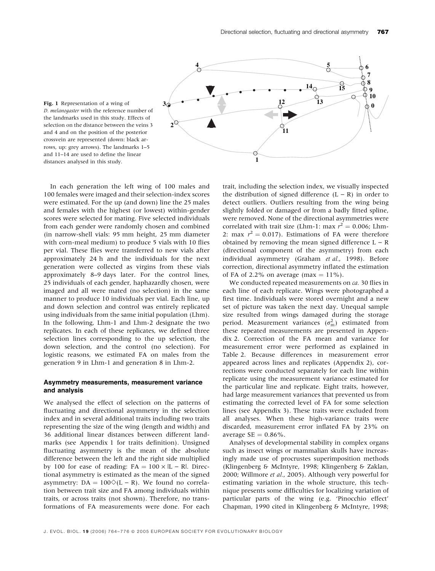



In each generation the left wing of 100 males and 100 females were imaged and their selection-index scores were estimated. For the up (and down) line the 25 males and females with the highest (or lowest) within-gender scores were selected for mating. Five selected individuals from each gender were randomly chosen and combined (in narrow-shell vials: 95 mm height, 25 mm diameter with corn-meal medium) to produce 5 vials with 10 flies per vial. These flies were transferred to new vials after approximately 24 h and the individuals for the next generation were collected as virgins from these vials approximately 8–9 days later. For the control lines, 25 individuals of each gender, haphazardly chosen, were imaged and all were mated (no selection) in the same manner to produce 10 individuals per vial. Each line, up and down selection and control was entirely replicated using individuals from the same initial population (Lhm). In the following, Lhm-1 and Lhm-2 designate the two replicates. In each of these replicates, we defined three selection lines corresponding to the up selection, the down selection, and the control (no selection). For logistic reasons, we estimated FA on males from the generation 9 in Lhm-1 and generation 8 in Lhm-2.

## Asymmetry measurements, measurement variance and analysis

We analysed the effect of selection on the patterns of fluctuating and directional asymmetry in the selection index and in several additional traits including two traits representing the size of the wing (length and width) and 36 additional linear distances between different landmarks (see Appendix 1 for traits definition). Unsigned fluctuating asymmetry is the mean of the absolute difference between the left and the right side multiplied by 100 for ease of reading:  $FA = 100 \times |L - R|$ . Directional asymmetry is estimated as the mean of the signed asymmetry:  $DA = 100 \diamond (L - R)$ . We found no correlation between trait size and FA among individuals within traits, or across traits (not shown). Therefore, no transformations of FA measurements were done. For each

trait, including the selection index, we visually inspected the distribution of signed difference  $(L - R)$  in order to detect outliers. Outliers resulting from the wing being slightly folded or damaged or from a badly fitted spline, were removed. None of the directional asymmetries were correlated with trait size (Lhm-1: max  $r^2 = 0.006$ ; Lhm-2: max  $r^2 = 0.017$ ). Estimations of FA were therefore obtained by removing the mean signed difference  $L - R$ (directional component of the asymmetry) from each individual asymmetry (Graham et al., 1998). Before correction, directional asymmetry inflated the estimation of FA of 2.2% on average (max =  $11\%$ ).

We conducted repeated measurements on ca. 30 flies in each line of each replicate. Wings were photographed a first time. Individuals were stored overnight and a new set of picture was taken the next day. Unequal sample size resulted from wings damaged during the storage period. Measurement variances  $(\sigma_{\rm m}^2)$  estimated from these repeated measurements are presented in Appendix 2. Correction of the FA mean and variance for measurement error were performed as explained in Table 2. Because differences in measurement error appeared across lines and replicates (Appendix 2), corrections were conducted separately for each line within replicate using the measurement variance estimated for the particular line and replicate. Eight traits, however, had large measurement variances that prevented us from estimating the corrected level of FA for some selection lines (see Appendix 3). These traits were excluded from all analyses. When these high-variance traits were discarded, measurement error inflated FA by 23% on average  $SE = 0.86\%$ .

Analyses of developmental stability in complex organs such as insect wings or mammalian skulls have increasingly made use of procrustes superimposition methods (Klingenberg & McIntyre, 1998; Klingenberg & Zaklan, 2000; Willmore et al., 2005). Although very powerful for estimating variation in the whole structure, this technique presents some difficulties for localizing variation of particular parts of the wing (e.g. 'Pinocchio effect' Chapman, 1990 cited in Klingenberg & McIntyre, 1998;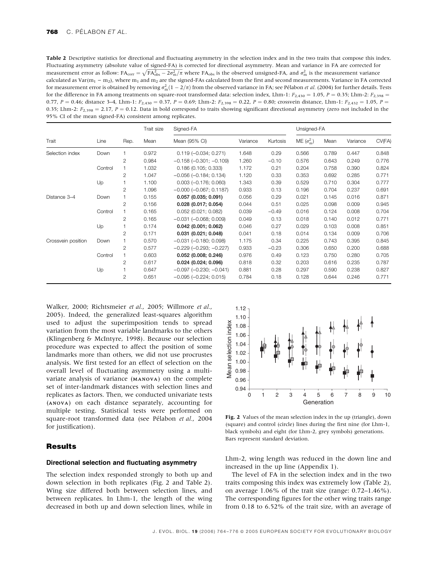Table 2 Descriptive statistics for directional and fluctuating asymmetry in the selection index and in the two traits that compose this index. Fluctuating asymmetry (absolute value of signed-FA) is corrected for directional asymmetry. Mean and variance in FA are corrected for measurement error as follow:  $FA_{\text{corr}} = \sqrt{FA_{\text{obs}}^2 - 2\sigma_{\text{m}}^2/\pi}$  where  $FA_{\text{obs}}$  is the observed unsigned-FA, and  $\sigma_{\text{m}}^2$  is the measurement variance calculated as Var( $m_1 - m_2$ ), where  $m_1$  and  $m_2$  are the signed-FAs calculated from the first and second measurements. Variance in FA corrected for measurement error is obtained by removing  $\sigma_{\rm m}^2(1-2/\pi)$  from the observed variance in FA; see Pélabon *et al*. (2004) for further details. Tests for the difference in FA among treatments on square-root transformed data: selection index, Lhm-1:  $F_{2,430} = 1.05$ ,  $P = 0.35$ ; Lhm-2:  $F_{2,398} =$ 0.77, P = 0.46; distance 3–4, Lhm-1:  $F_{2,430} = 0.37$ , P = 0.69; Lhm-2:  $F_{2,398} = 0.22$ , P = 0.80; crossvein distance, Lhm-1:  $F_{2,432} = 1.05$ , P = 0.35; Lhm-2:  $F_{2,398} = 2.17$ ,  $P = 0.12$ . Data in bold correspond to traits showing significant directional asymmetry (zero not included in the 95% CI of the mean signed-FA) consistent among replicates.

|                    |         |                | Trait size | Signed-FA                    |          |          | Unsigned-FA             |       |          |        |
|--------------------|---------|----------------|------------|------------------------------|----------|----------|-------------------------|-------|----------|--------|
| Trait              | Line    | Rep.           | Mean       | Mean (95% CI)                | Variance | Kurtosis | ME $(\sigma_{\rm m}^2)$ | Mean  | Variance | CV(FA) |
| Selection index    | Down    | 1.             | 0.972      | $0.119 (-0.034; 0.271)$      | 1.648    | 0.29     | 0.566                   | 0.789 | 0.447    | 0.848  |
|                    |         | 2              | 0.984      | $-0.158$ $(-0.301; -0.109)$  | 1.260    | $-0.10$  | 0.576                   | 0.643 | 0.249    | 0.776  |
|                    | Control | 1.             | 1.032      | 0.186(0.105; 0.333)          | 1.172    | 0.21     | 0.204                   | 0.758 | 0.390    | 0.824  |
|                    |         | 2              | 1.047      | $-0.056$ ( $-0.184$ ; 0.134) | 1.120    | 0.33     | 0.353                   | 0.692 | 0.285    | 0.771  |
|                    | Up      | 1.             | 1.100      | $0.003 (-0.176; 0.060)$      | 1.343    | 0.39     | 0.529                   | 0.710 | 0.304    | 0.777  |
|                    |         | $\overline{2}$ | 1.096      | $-0.000$ $(-0.067; 0.1187)$  | 0.933    | 0.13     | 0.196                   | 0.704 | 0.237    | 0.691  |
| Distance 3-4       | Down    | 1.             | 0.155      | $0.057$ (0.035; 0.091)       | 0.056    | 0.29     | 0.021                   | 0.145 | 0.016    | 0.871  |
|                    |         | 2              | 0.156      | $0.028$ (0.017; 0.054)       | 0.044    | 0.51     | 0.025                   | 0.098 | 0.009    | 0.945  |
|                    | Control | 1.             | 0.165      | $0.052$ (0.021; 0.082)       | 0.039    | $-0.49$  | 0.016                   | 0.124 | 0.008    | 0.704  |
|                    |         | $\mathbf{2}$   | 0.165      | $-0.031$ $(-0.068; 0.009)$   | 0.049    | 0.13     | 0.018                   | 0.140 | 0.012    | 0.771  |
|                    | Up      | 1.             | 0.174      | $0.042$ (0.001; 0.062)       | 0.046    | 0.27     | 0.029                   | 0.103 | 0.008    | 0.851  |
|                    |         | $\overline{2}$ | 0.171      | $0.031$ (0.021; 0.048)       | 0.041    | 0.18     | 0.014                   | 0.134 | 0.009    | 0.706  |
| Crossvein position | Down    | 1.             | 0.570      | $-0.031$ $(-0.180; 0.098)$   | 1.175    | 0.34     | 0.225                   | 0.743 | 0.395    | 0.845  |
|                    |         | $\mathbf{2}$   | 0.577      | $-0.229$ $(-0.293; -0.227)$  | 0.933    | $-0.23$  | 0.306                   | 0.650 | 0.200    | 0.688  |
|                    | Control | 1.             | 0.603      | $0.052$ (0.008; 0.246)       | 0.976    | 0.49     | 0.123                   | 0.750 | 0.280    | 0.705  |
|                    |         | 2              | 0.617      | $0.024$ (0.024; 0.096)       | 0.818    | 0.32     | 0.203                   | 0.616 | 0.235    | 0.787  |
|                    | Up      | 1              | 0.647      | $-0.097$ $(-0.230; -0.041)$  | 0.881    | 0.28     | 0.297                   | 0.590 | 0.238    | 0.827  |
|                    |         | $\mathbf{2}$   | 0.651      | $-0.095$ $(-0.224; 0.015)$   | 0.784    | 0.18     | 0.128                   | 0.644 | 0.246    | 0.771  |

Walker, 2000; Richtsmeier et al., 2005; Willmore et al., 2005). Indeed, the generalized least-squares algorithm used to adjust the superimposition tends to spread variation from the most variable landmarks to the others (Klingenberg & McIntyre, 1998). Because our selection procedure was expected to affect the position of some landmarks more than others, we did not use procrustes analysis. We first tested for an effect of selection on the overall level of fluctuating asymmetry using a multivariate analysis of variance (MANOVA) on the complete set of inter-landmark distances with selection lines and replicates as factors. Then, we conducted univariate tests (ANOVA) on each distance separately, accounting for multiple testing. Statistical tests were performed on square-root transformed data (see Pélabon et al., 2004 for justification).

## Results

## Directional selection and fluctuating asymmetry

The selection index responded strongly to both up and down selection in both replicates (Fig. 2 and Table 2). Wing size differed both between selection lines, and between replicates. In Lhm-1, the length of the wing decreased in both up and down selection lines, while in



Fig. 2 Values of the mean selection index in the up (triangle), down (square) and control (circle) lines during the first nine (for Lhm-1, black symbols) and eight (for Lhm-2, grey symbols) generations. Bars represent standard deviation.

Lhm-2, wing length was reduced in the down line and increased in the up line (Appendix 1).

The level of FA in the selection index and in the two traits composing this index was extremely low (Table 2), on average 1.06% of the trait size (range: 0.72–1.46%). The corresponding figures for the other wing traits range from 0.18 to 6.52% of the trait size, with an average of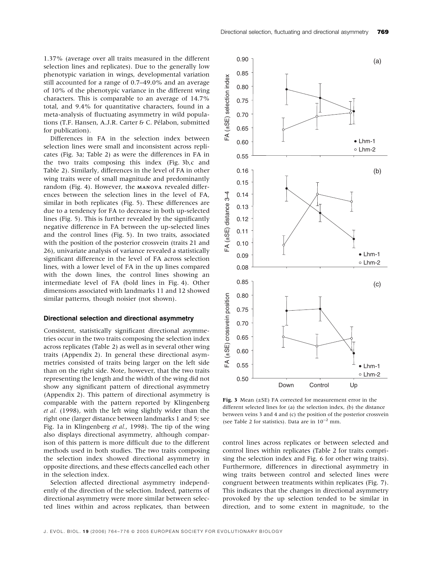1.37% (average over all traits measured in the different selection lines and replicates). Due to the generally low phenotypic variation in wings, developmental variation still accounted for a range of 0.7–49.0% and an average of 10% of the phenotypic variance in the different wing characters. This is comparable to an average of 14.7% total, and 9.4% for quantitative characters, found in a meta-analysis of fluctuating asymmetry in wild populations (T.F. Hansen, A.J.R. Carter & C. Pélabon, submitted for publication).

Differences in FA in the selection index between selection lines were small and inconsistent across replicates (Fig. 3a; Table 2) as were the differences in FA in the two traits composing this index (Fig. 3b,c and Table 2). Similarly, differences in the level of FA in other wing traits were of small magnitude and predominantly random (Fig. 4). However, the MANOVA revealed differences between the selection lines in the level of FA, similar in both replicates (Fig. 5). These differences are due to a tendency for FA to decrease in both up-selected lines (Fig. 5). This is further revealed by the significantly negative difference in FA between the up-selected lines and the control lines (Fig. 5). In two traits, associated with the position of the posterior crossvein (traits 21 and 26), univariate analysis of variance revealed a statistically significant difference in the level of FA across selection lines, with a lower level of FA in the up lines compared with the down lines, the control lines showing an intermediate level of FA (bold lines in Fig. 4). Other dimensions associated with landmarks 11 and 12 showed similar patterns, though noisier (not shown).

#### Directional selection and directional asymmetry

Consistent, statistically significant directional asymmetries occur in the two traits composing the selection index across replicates (Table 2) as well as in several other wing traits (Appendix 2). In general these directional asymmetries consisted of traits being larger on the left side than on the right side. Note, however, that the two traits representing the length and the width of the wing did not show any significant pattern of directional asymmetry (Appendix 2). This pattern of directional asymmetry is comparable with the pattern reported by Klingenberg et al. (1998), with the left wing slightly wider than the right one (larger distance between landmarks 1 and 5; see Fig. 1a in Klingenberg et al., 1998). The tip of the wing also displays directional asymmetry, although comparison of this pattern is more difficult due to the different methods used in both studies. The two traits composing the selection index showed directional asymmetry in opposite directions, and these effects cancelled each other in the selection index.

Selection affected directional asymmetry independently of the direction of the selection. Indeed, patterns of directional asymmetry were more similar between selected lines within and across replicates, than between





Fig. 3 Mean  $(\pm SE)$  FA corrected for measurement error in the different selected lines for (a) the selection index, (b) the distance between veins 3 and 4 and (c) the position of the posterior crossvein (see Table 2 for statistics). Data are in  $10^{-2}$  mm.

control lines across replicates or between selected and control lines within replicates (Table 2 for traits comprising the selection index and Fig. 6 for other wing traits). Furthermore, differences in directional asymmetry in wing traits between control and selected lines were congruent between treatments within replicates (Fig. 7). This indicates that the changes in directional asymmetry provoked by the up selection tended to be similar in direction, and to some extent in magnitude, to the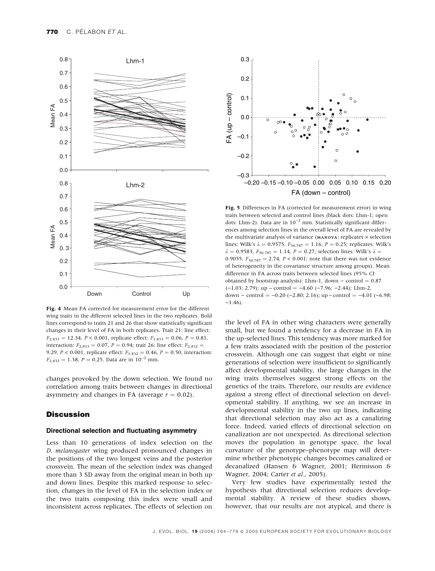

Fig. 4 Mean FA corrected for measurement error for the different wing traits in the different selected lines in the two replicates. Bold lines correspond to traits 21 and 26 that show statistically significant changes in their level of FA in both replicates. Trait 21: line effect:  $F_{2,833} = 12.34$ ,  $P < 0.001$ , replicate effect:  $F_{1,833} = 0.06$ ,  $P = 0.81$ , interaction:  $F_{2,833} = 0.07$ ,  $P = 0.94$ ; trait 26: line effect:  $F_{2,832} =$ 9.29,  $P < 0.001$ , replicate effect:  $F_{1,832} = 0.46$ ,  $P = 0.50$ , interaction:  $F_{2.832} = 1.38$ ,  $P = 0.25$ . Data are in  $10^{-2}$  mm.

changes provoked by the down selection. We found no correlation among traits between changes in directional asymmetry and changes in FA (average  $r = 0.02$ ).

# **Discussion**

## Directional selection and fluctuating asymmetry

Less than 10 generations of index selection on the D. melanogaster wing produced pronounced changes in the positions of the two longest veins and the posterior crossvein. The mean of the selection index was changed more than 3 SD away from the original mean in both up and down lines. Despite this marked response to selection, changes in the level of FA in the selection index or the two traits composing this index were small and inconsistent across replicates. The effects of selection on



Fig. 5 Differences in FA (corrected for measurement error) in wing traits between selected and control lines (black dots: Lhm-1; open dots: Lhm-2). Data are in  $10^{-2}$  mm. Statistically significant differences among selection lines in the overall level of FA are revealed by the multivariate analysis of variance ( $M$ ANOVA: replicates  $\times$  selection lines: Wilk's  $\lambda = 0.9575$ ,  $F_{30,787} = 1.16$ ,  $P = 0.25$ ; replicates: Wilk's  $\lambda = 0.9583$ ,  $F_{30,787} = 1.14$ ,  $P = 0.27$ ; selection lines: Wilk's  $\lambda =$ 0.9055,  $F_{30,787} = 2.74$ ,  $P < 0.001$ ; note that there was not evidence of heterogeneity in the covariance structure among groups). Mean difference in FA across traits between selected lines (95% CI obtained by bootstrap analysis): Lhm-1, down – control =  $0.87$  $(-1.03; 2.79)$ ; up – control = -4.60 (-7.96; -2.44); Lhm-2, down – control =  $-0.20$  ( $-2.80$ ; 2.16); up – control =  $-4.01$  ( $-6.98$ ;  $-1.46$ ).

the level of FA in other wing characters were generally small, but we found a tendency for a decrease in FA in the up-selected lines. This tendency was more marked for a few traits associated with the position of the posterior crossvein. Although one can suggest that eight or nine generations of selection were insufficient to significantly affect developmental stability, the large changes in the wing traits themselves suggest strong effects on the genetics of the traits. Therefore, our results are evidence against a strong effect of directional selection on developmental stability. If anything, we see an increase in developmental stability in the two up lines, indicating that directional selection may also act as a canalizing force. Indeed, varied effects of directional selection on canalization are not unexpected. As directional selection moves the population in genotype space, the local curvature of the genotype–phenotype map will determine whether phenotypic changes becomes canalized or decanalized (Hansen & Wagner, 2001; Hermisson & Wagner, 2004; Carter et al., 2005).

Very few studies have experimentally tested the hypothesis that directional selection reduces developmental stability. A review of these studies shows, however, that our results are not atypical, and there is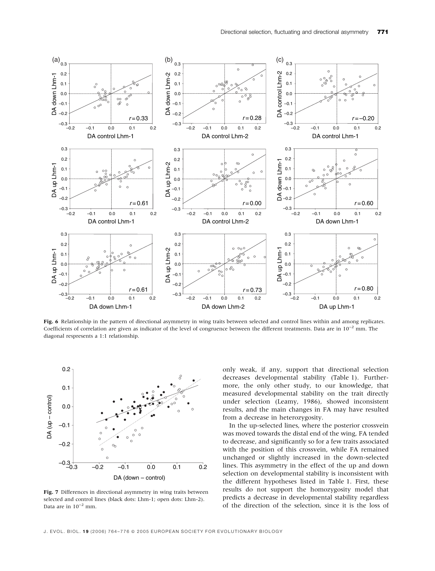

Fig. 6 Relationship in the pattern of directional asymmetry in wing traits between selected and control lines within and among replicates. Coefficients of correlation are given as indicator of the level of congruence between the different treatments. Data are in  $10^{-2}$  mm. The diagonal respresents a 1:1 relationship.



Fig. 7 Differences in directional asymmetry in wing traits between selected and control lines (black dots: Lhm-1; open dots: Lhm-2). Data are in  $10^{-2}$  mm.

only weak, if any, support that directional selection decreases developmental stability (Table 1). Furthermore, the only other study, to our knowledge, that measured developmental stability on the trait directly under selection (Leamy, 1986), showed inconsistent results, and the main changes in FA may have resulted from a decrease in heterozygosity.

In the up-selected lines, where the posterior crossvein was moved towards the distal end of the wing, FA tended to decrease, and significantly so for a few traits associated with the position of this crossvein, while FA remained unchanged or slightly increased in the down-selected lines. This asymmetry in the effect of the up and down selection on developmental stability is inconsistent with the different hypotheses listed in Table 1. First, these results do not support the homozygosity model that predicts a decrease in developmental stability regardless of the direction of the selection, since it is the loss of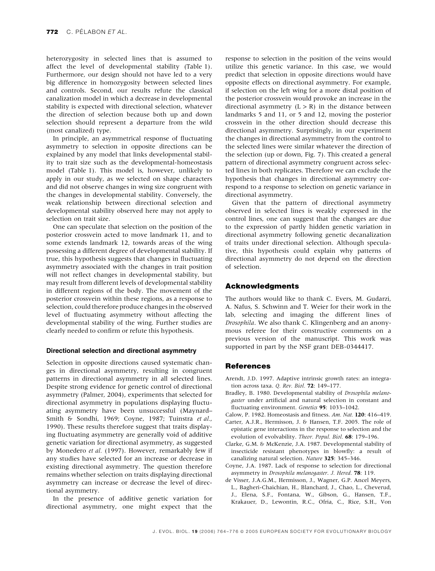heterozygosity in selected lines that is assumed to affect the level of developmental stability (Table 1). Furthermore, our design should not have led to a very big difference in homozygosity between selected lines and controls. Second, our results refute the classical canalization model in which a decrease in developmental stability is expected with directional selection, whatever the direction of selection because both up and down selection should represent a departure from the wild (most canalized) type.

In principle, an asymmetrical response of fluctuating asymmetry to selection in opposite directions can be explained by any model that links developmental stability to trait size such as the developmental-homeostasis model (Table 1). This model is, however, unlikely to apply in our study, as we selected on shape characters and did not observe changes in wing size congruent with the changes in developmental stability. Conversely, the weak relationship between directional selection and developmental stability observed here may not apply to selection on trait size.

One can speculate that selection on the position of the posterior crossvein acted to move landmark 11, and to some extends landmark 12, towards areas of the wing possessing a different degree of developmental stability. If true, this hypothesis suggests that changes in fluctuating asymmetry associated with the changes in trait position will not reflect changes in developmental stability, but may result from different levels of developmental stability in different regions of the body. The movement of the posterior crossvein within these regions, as a response to selection, could therefore produce changes in the observed level of fluctuating asymmetry without affecting the developmental stability of the wing. Further studies are clearly needed to confirm or refute this hypothesis.

#### Directional selection and directional asymmetry

Selection in opposite directions caused systematic changes in directional asymmetry, resulting in congruent patterns in directional asymmetry in all selected lines. Despite strong evidence for genetic control of directional asymmetry (Palmer, 2004), experiments that selected for directional asymmetry in populations displaying fluctuating asymmetry have been unsuccessful (Maynard– Smith & Sondhi, 1969; Coyne, 1987; Tuinstra et al., 1990). These results therefore suggest that traits displaying fluctuating asymmetry are generally void of additive genetic variation for directional asymmetry, as suggested by Monedero et al. (1997). However, remarkably few if any studies have selected for an increase or decrease in existing directional asymmetry. The question therefore remains whether selection on traits displaying directional asymmetry can increase or decrease the level of directional asymmetry.

In the presence of additive genetic variation for directional asymmetry, one might expect that the

response to selection in the position of the veins would utilize this genetic variance. In this case, we would predict that selection in opposite directions would have opposite effects on directional asymmetry. For example, if selection on the left wing for a more distal position of the posterior crossvein would provoke an increase in the directional asymmetry  $(L > R)$  in the distance between landmarks 5 and 11, or 5 and 12, moving the posterior crossvein in the other direction should decrease this directional asymmetry. Surprisingly, in our experiment the changes in directional asymmetry from the control to the selected lines were similar whatever the direction of the selection (up or down, Fig. 7). This created a general pattern of directional asymmetry congruent across selected lines in both replicates. Therefore we can exclude the hypothesis that changes in directional asymmetry correspond to a response to selection on genetic variance in directional asymmetry.

Given that the pattern of directional asymmetry observed in selected lines is weakly expressed in the control lines, one can suggest that the changes are due to the expression of partly hidden genetic variation in directional asymmetry following genetic decanalization of traits under directional selection. Although speculative, this hypothesis could explain why patterns of directional asymmetry do not depend on the direction of selection.

## Acknowledgments

The authors would like to thank C. Evers, M. Gudarzi, A. Nafus, S. Schwinn and T. Weier for their work in the lab, selecting and imaging the different lines of Drosophila. We also thank C. Klingenberg and an anonymous referee for their constructive comments on a previous version of the manuscript. This work was supported in part by the NSF grant DEB-0344417.

#### References

- Arendt, J.D. 1997. Adaptive intrinsic growth rates: an integration across taxa. Q. Rev. Biol. 72: 149–177.
- Bradley, B. 1980. Developmental stability of Drosophila melanogaster under artificial and natural selection in constant and fluctuating environment. Genetics 95: 1033-1042.
- Calow, P. 1982. Homeostasis and fitness. Am. Nat. 120: 416–419.
- Carter, A.J.R., Hermisson, J. & Hansen, T.F. 2005. The role of epistatic gene interactions in the response to selection and the evolution of evolvability. Theor. Popul. Biol. 68: 179–196.
- Clarke, G.M. & McKenzie, J.A. 1987. Developmental stability of insecticide resistant phenotypes in blowfly: a result of canalizing natural selection. Nature 325: 345–346.
- Coyne, J.A. 1987. Lack of response to selection for directional asymmetry in Drosophila melanogaster. J. Hered. 78: 119.
- de Visser, J.A.G.M., Hermisson, J., Wagner, G.P. Ancel Meyers, L., Bagheri-Chaichian, H., Blanchard, J., Chao, L., Cheverud, J., Elena, S.F., Fontana, W., Gibson, G., Hansen, T.F., Krakauer, D., Lewontin, R.C., Ofria, C., Rice, S.H., Von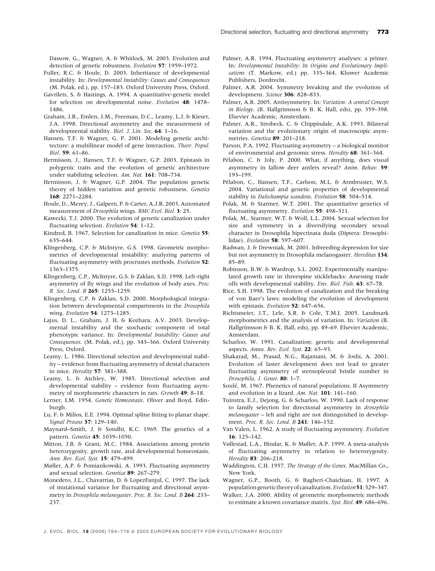Dassow, G., Wagner, A. & Whitlock, M. 2003. Evolution and detection of genetic robustness. Evolution 57: 1959–1972.

- Fuller, R.C. & Houle, D. 2003. Inheritance of developmental instability. In: Developmental Instability: Causes and Consequences (M. Polak, ed.), pp. 157–183. Oxford University Press, Oxford.
- Gavrilets, S. & Hastings, A. 1994. A quantitative-genetic model for selection on developmental noise. Evolution 48: 1478– 1486.
- Graham, J.R., Emlen, J.M., Freeman, D.C., Leamy, L.J. & Kieser, J.A. 1998. Directional asymmetry and the measurement of developmental stability. Biol. J. Lin. Soc. 64: 1-16.
- Hansen, T.F. & Wagner, G. P. 2001. Modeling genetic architecture: a multilinear model of gene interaction. Theor. Popul.  $Biol. 59. 61–86.$
- Hermisson, J., Hansen, T.F. & Wagner, G.P. 2003. Epistasis in polygenic traits and the evolution of genetic architecture under stabilizing selection. Am. Nat. 161: 708–734.
- Hermisson, J. & Wagner, G.P. 2004. The population genetic theory of hidden variation and genetic robustness. Genetics 168: 2271–2284.
- Houle, D., Mezey, J., Galpern, P. & Carter, A.J.R. 2003. Automated measurement of Drosophila wings. BMC Evol. Biol. 3: 25.
- Kawecki, T.J. 2000. The evolution of genetic canalization under fluctuating selection. Evolution 54: 1–12.
- Kindred, B. 1967. Selection for canalization in mice. Genetics 55: 635–644.
- Klingenberg, C.P. & McIntyre, G.S. 1998. Geometric morphometrics of developmental instability: analyzing patterns of fluctuating asymmetry with procrustes methods. Evolution 52: 1363–1375.
- Klingenberg, C.P., McIntyre, G.S. & Zaklan, S.D. 1998. Left-right asymmetry of fly wings and the evolution of body axes. Proc. R. Soc. Lond. B 265: 1255–1259.
- Klingenberg, C.P. & Zaklan, S.D. 2000. Morphological integration between developmental compartments in the Drosophila wing. Evolution 54: 1273–1285.
- Lajus, D. L., Graham, J. H. & Kozhara, A.V. 2003. Developmental instability and the stochastic component of total phenotypic variance. In: Developmental Instability: Causes and Consequences. (M. Polak, ed.), pp. 343–366. Oxford University Press, Oxford.
- Leamy, L. 1986. Directional selection and developmental stability – evidence from fluctuating asymmetry of dental characters in mice. Heredity 57: 381–388.
- Leamy, L. & Atchley, W. 1985. Directional selection and developmental stability – evidence from fluctuating asymmetry of morphometric characters in rats. Growth 49: 8–18.
- Lerner, I.M. 1954. Genetic Homeostasis. Oliver and Boyd, Edinburgh.
- Lu, F. & Milios, E.E. 1994. Optimal spline fitting to planar shape. Signal Process 37: 129–140.
- Maynard–Smith, J. & Sondhi, K.C. 1969. The genetics of a pattern. Genetics 45: 1039–1050.
- Mitton, J.B. & Grant, M.C. 1984. Associations among protein heterozygosity, growth rate, and developmental homeostasis. Ann. Rev. Ecol. Syst. 15: 479–499.
- Møller, A.P. & Pomiankowski, A. 1993. Fluctuating asymmetry and sexual selection. Genetica 89: 267–279.
- Monedero, J.L., Chavarrias, D. & LopezFanjul, C. 1997. The lack of mutational variance for fluctuating and directional asymmetry in Drosophila melanogaster. Proc. R. Soc. Lond. B 264: 233-237.
- Palmer, A.R. 1994. Fluctuating asymmetry analyses: a primer. In: Developmental Instability: Its Origins and Evolutionary Implications (T. Markow, ed.) pp. 335–364. Kluwer Academic Publishers, Dordrecht.
- Palmer, A.R. 2004. Symmetry breaking and the evolution of development. Science 306: 828-833.
- Palmer, A.R. 2005. Antisymmetry. In: Variation: A central Concept in Biology. (B. Hallgrimsson & B. K. Hall, eds), pp. 359-398. Elsevier Academic, Amsterdam.
- Palmer, A.R., Strobeck, C. & Chippindale, A.K. 1993. Bilateral variation and the evolutionary origin of macroscopic asymmetries. Genetica 89: 201–218.
- Parson, P.A. 1992. Fluctuating asymmetry a biological monitor of environmental and genomic stress. Heredity 68: 361–364.
- Pélabon, C. & Joly, P. 2000. What, if anything, does visual asymmetry in fallow deer antlers reveal? Anim. Behav. 59: 193–199.
- Pélabon, C., Hansen, T.F., Carlson, M.L. & Armbruster, W.S. 2004. Variational and genetic properties of developmental stability in Dalechampia scandens. Evolution 58: 504-514.
- Polak, M. & Starmer, W.T. 2001. The quantitative genetics of fluctuating asymmetry. Evolution 55: 498-511.
- Polak, M., Starmer, W.T. & Wolf, L.L. 2004. Sexual selection for size and symmetry in a diversifying secondary sexual character in Drosophila bipectinata duda (Diptera: Drosophilidae). Evolution 58: 597–607.
- Radwan, J. & Drewniak, M. 2001. Inbreeding depression for size but not asymmetry in Drosophila melanogaster. Hereditas 134: 85–89.
- Robinson, B.W. & Wardrop, S.L. 2002. Experimentally manipulated growth rate in threespine sticklebacks: Assessing trade offs with developmental stability. Env. Biol. Fish. 63: 67–78.
- Rice, S.H. 1998. The evolution of canalization and the breaking of von Baer's laws: modeling the evolution of development with epistasis. Evolution 52: 647-656.
- Richtsmeier, J.T., Lele, S.R. & Cole, T.M.I. 2005. Landmark morphometrics and the analysis of variation. In: Variation (B. Hallgrímsson & B. K. Hall, eds), pp. 49-69. Elsevier Academic, Amsterdam.
- Scharloo, W. 1991. Canalization: genetic and developmental aspects. Annu. Rev. Ecol. Syst. 22: 65-93.
- Shakarad, M., Prasad, N.G., Rajamani, M. & Joshi, A. 2001. Evolution of faster development does not lead to greater fluctuating asymmetry of sternopleural bristle number in Drosophila. J. Genet. 80: 1–7.
- Soulé, M. 1967. Phenetics of natural populations. II Asymmetry and evolution in a lizard. Am. Nat. 101: 141–160.
- Tuinstra, E.J., Dejong, G. & Scharloo, W. 1990. Lack of response to family selection for directional asymmetry in drosophila melanogaster – left and right are not distinguished in development. Proc. R. Soc. Lond. B 241: 146–152.
- Van Valen, L. 1962. A study of fluctuating asymmetry. Evolution 16: 125–142.
- Vøllestad, L.A., Hindar, K. & Møller, A.P. 1999. A meta-analysis of fluctuating asymmetry in relation to heterozygosity. Heredity 83: 206–218.
- Waddington, C.H. 1957. The Strategy of the Genes. MacMillan Co., New York.
- Wagner, G.P., Booth, G. & Bagheri-Chaichian, H. 1997. A population genetic theory of canalization. Evolution 51:329-347.
- Walker, J.A. 2000. Ability of geometric morphometric methods to estimate a known covariance matrix. Syst. Biol. 49: 686–696.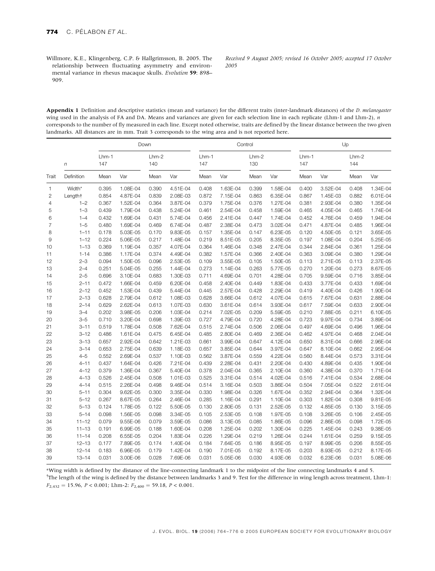Willmore, K.E., Klingenberg, C.P. & Hallgrimsson, B. 2005. The relationship between fluctuating asymmetry and environmental variance in rhesus macaque skulls. Evolution 59: 898– 909.

Received 9 August 2005; revised 16 October 2005; accepted 17 October 2005

Appendix 1 Definition and descriptive statistics (mean and variance) for the different traits (inter-landmark distances) of the D. melanogaster wing used in the analysis of FA and DA. Means and variances are given for each selection line in each replicate (Lhm-1 and Lhm-2), n corresponds to the number of fly measured in each line. Except noted otherwise, traits are defined by the linear distance between the two given landmarks. All distances are in mm. Trait 3 corresponds to the wing area and is not reported here.

|              |            |                |          | Down           |          |                |          | Control        |          |                |          | Up             |          |
|--------------|------------|----------------|----------|----------------|----------|----------------|----------|----------------|----------|----------------|----------|----------------|----------|
|              | $\sqrt{n}$ | $Lhm-1$<br>147 |          | $Lhm-2$<br>140 |          | $Lhm-1$<br>147 |          | $Lhm-2$<br>130 |          | $Lhm-1$<br>147 |          | $Lhm-2$<br>144 |          |
| Trait        | Definition | Mean           | Var      | Mean           | Var      | Mean           | Var      | Mean           | Var      | Mean           | Var      | Mean           | Var      |
| 1            | Width*     | 0.395          | 1.08E-04 | 0.390          | 4.51E-04 | 0.408          | 1.63E-04 | 0.399          | 1.58E-04 | 0.400          | 3.52E-04 | 0.408          | 1.34E-04 |
| $\mathbf{2}$ | Length†    | 0.854          | 4.87E-04 | 0.839          | 2.08E-03 | 0.872          | 7.15E-04 | 0.863          | 6.35E-04 | 0.867          | 1.45E-03 | 0.882          | 6.01E-04 |
| 4            | $1 - 2$    | 0.367          | 1.52E-04 | 0.364          | 3.87E-04 | 0.379          | 1.75E-04 | 0.376          | 1.27E-04 | 0.381          | 2.93E-04 | 0.380          | 1.35E-04 |
| 5            | $1 - 3$    | 0.439          | 1.79E-04 | 0.438          | 5.24E-04 | 0.461          | 2.54E-04 | 0.458          | 1.59E-04 | 0.465          | 4.05E-04 | 0.465          | 1.74E-04 |
| 6            | $1 - 4$    | 0.432          | 1.69E-04 | 0.431          | 5.74E-04 | 0.456          | 2.41E-04 | 0.447          | 1.74E-04 | 0.452          | 4.76E-04 | 0.459          | 1.94E-04 |
| 7            | $1 - 5$    | 0.480          | 1.69E-04 | 0.469          | 6.74E-04 | 0.487          | 2.38E-04 | 0.473          | 3.02E-04 | 0.471          | 4.87E-04 | 0.485          | 1.96E-04 |
| 8            | $1 - 11$   | 0.178          | 5.03E-05 | 0.170          | 9.83E-05 | 0.157          | 1.35E-04 | 0.147          | 6.23E-05 | 0.120          | 4.50E-05 | 0.121          | 3.65E-05 |
| 9            | $1 - 12$   | 0.224          | 5.06E-05 | 0.217          | 1.48E-04 | 0.219          | 8.51E-05 | 0.205          | 8.35E-05 | 0.197          | 1.08E-04 | 0.204          | 5.25E-05 |
| 10           | $1 - 13$   | 0.369          | 1.19E-04 | 0.357          | 4.07E-04 | 0.364          | 1.46E-04 | 0.348          | 2.47E-04 | 0.344          | 2.84E-04 | 0.361          | 1.25E-04 |
| 11           | $1 - 14$   | 0.386          | 1.17E-04 | 0.374          | 4.49E-04 | 0.382          | 1.57E-04 | 0.366          | 2.40E-04 | 0.363          | 3.09E-04 | 0.380          | 1.29E-04 |
| 12           | $2 - 3$    | 0.094          | 1.50E-05 | 0.096          | 2.53E-05 | 0.109          | 3.55E-05 | 0.105          | 1.50E-05 | 0.113          | 2.71E-05 | 0.113          | 2.37E-05 |
| 13           | $2 - 4$    | 0.251          | 5.04E-05 | 0.255          | 1.44E-04 | 0.273          | 1.14E-04 | 0.263          | 5.77E-05 | 0.270          | 1.20E-04 | 0.273          | 8.67E-05 |
| 14           | $2 - 5$    | 0.696          | 3.10E-04 | 0.683          | 1.30E-03 | 0.711          | 4.69E-04 | 0.701          | 4.28E-04 | 0.705          | 9.59E-04 | 0.716          | 3.85E-04 |
| 15           | $2 - 11$   | 0.472          | 1.66E-04 | 0.459          | 6.20E-04 | 0.458          | 2.40E-04 | 0.449          | 1.83E-04 | 0.433          | 3.77E-04 | 0.433          | 1.69E-04 |
| 16           | $2 - 12$   | 0.452          | 1.53E-04 | 0.439          | 5.44E-04 | 0.445          | 2.57E-04 | 0.428          | 2.29E-04 | 0.419          | 4.40E-04 | 0.426          | 1.90E-04 |
| 17           | $2 - 13$   | 0.628          | 2.79E-04 | 0.612          | 1.08E-03 | 0.628          | 3.66E-04 | 0.612          | 4.07E-04 | 0.615          | 7.67E-04 | 0.631          | 2.88E-04 |
| 18           | $2 - 14$   | 0.629          | 2.62E-04 | 0.613          | 1.07E-03 | 0.630          | 3.61E-04 | 0.614          | 3.93E-04 | 0.617          | 7.59E-04 | 0.633          | 2.90E-04 |
| 19           | $3 - 4$    | 0.202          | 3.98E-05 | 0.206          | 1.03E-04 | 0.214          | 7.02E-05 | 0.209          | 5.59E-05 | 0.210          | 7.88E-05 | 0.211          | 6.10E-05 |
| 20           | $3 - 5$    | 0.710          | 3.20E-04 | 0.698          | 1.39E-03 | 0.727          | 4.79E-04 | 0.720          | 4.28E-04 | 0.723          | 9.97E-04 | 0.734          | 3.89E-04 |
| 21           | $3 - 11$   | 0.519          | 1.78E-04 | 0.508          | 7.62E-04 | 0.515          | 2.74E-04 | 0.506          | 2.06E-04 | 0.497          | 4.69E-04 | 0.496          | 1.96E-04 |
| 22           | $3 - 12$   | 0.486          | 1.61E-04 | 0.475          | 6.45E-04 | 0.485          | 2.80E-04 | 0.469          | 2.36E-04 | 0.462          | 4.97E-04 | 0.468          | 2.04E-04 |
| 23           | $3 - 13$   | 0.657          | 2.92E-04 | 0.642          | 1.21E-03 | 0.661          | 3.99E-04 | 0.647          | 4.12E-04 | 0.650          | 8.31E-04 | 0.666          | 2.96E-04 |
| 24           | $3 - 14$   | 0.653          | 2.75E-04 | 0.639          | 1.18E-03 | 0.657          | 3.85E-04 | 0.644          | 3.97E-04 | 0.647          | 8.10E-04 | 0.662          | 2.95E-04 |
| 25           | $4 - 5$    | 0.552          | 2.69E-04 | 0.537          | 1.10E-03 | 0.562          | 3.87E-04 | 0.559          | 4.22E-04 | 0.560          | 8.44E-04 | 0.573          | 3.31E-04 |
| 26           | $4 - 11$   | 0.437          | 1.64E-04 | 0.426          | 7.21E-04 | 0.439          | 2.28E-04 | 0.431          | 2.20E-04 | 0.430          | 4.89E-04 | 0.435          | 1.90E-04 |
| 27           | $4 - 12$   | 0.379          | 1.36E-04 | 0.367          | 5.40E-04 | 0.378          | 2.04E-04 | 0.365          | 2.10E-04 | 0.360          | 4.38E-04 | 0.370          | 1.71E-04 |
| 28           | $4 - 13$   | 0.526          | 2.45E-04 | 0.508          | 1.01E-03 | 0.525          | 3.31E-04 | 0.514          | 4.02E-04 | 0.516          | 7.41E-04 | 0.534          | 2.68E-04 |
| 29           | $4 - 14$   | 0.515          | 2.26E-04 | 0.498          | 9.46E-04 | 0.514          | 3.16E-04 | 0.503          | 3.86E-04 | 0.504          | 7.05E-04 | 0.522          | 2.61E-04 |
| 30           | $5 - 11$   | 0.304          | 9.62E-05 | 0.300          | 3.35E-04 | 0.330          | 1.98E-04 | 0.326          | 1.67E-04 | 0.352          | 2.94E-04 | 0.364          | 1.32E-04 |
| 31           | $5 - 12$   | 0.267          | 8.67E-05 | 0.264          | 2.46E-04 | 0.285          | 1.16E-04 | 0.291          | 1.10E-04 | 0.303          | 1.82E-04 | 0.308          | 9.81E-05 |
| 32           | $5 - 13$   | 0.124          | 1.78E-05 | 0.122          | 5.50E-05 | 0.130          | 2.80E-05 | 0.131          | 2.52E-05 | 0.132          | 4.85E-05 | 0.130          | 3.15E-05 |
| 33           | $5 - 14$   | 0.098          | 1.56E-05 | 0.098          | 3.34E-05 | 0.105          | 2.53E-05 | 0.108          | 1.97E-05 | 0.108          | 3.26E-05 | 0.106          | 2.45E-05 |
| 34           | $11 - 12$  | 0.079          | 9.55E-06 | 0.079          | 3.59E-05 | 0.086          | 3.13E-05 | 0.085          | 1.86E-05 | 0.096          | 2.86E-05 | 0.098          | 1.72E-05 |
| 35           | $11 - 13$  | 0.191          | 6.99E-05 | 0.188          | 1.60E-04 | 0.208          | 1.25E-04 | 0.202          | 1.30E-04 | 0.225          | 1.45E-04 | 0.243          | 9.38E-05 |
| 36           | $11 - 14$  | 0.208          | 6.55E-05 | 0.204          | 1.83E-04 | 0.226          | 1.29E-04 | 0.219          | 1.26E-04 | 0.244          | 1.61E-04 | 0.259          | 9.15E-05 |
| 37           | $12 - 13$  | 0.177          | 7.89E-05 | 0.174          | 1.40E-04 | 0.184          | 7.64E-05 | 0.186          | 8.95E-05 | 0.197          | 8.99E-05 | 0.206          | 8.55E-05 |
| 38           | $12 - 14$  | 0.183          | 6.96E-05 | 0.179          | 1.42E-04 | 0.190          | 7.01E-05 | 0.192          | 8.17E-05 | 0.203          | 8.93E-05 | 0.212          | 8.17E-05 |
| 39           | $13 - 14$  | 0.031          | 3.00E-06 | 0.028          | 7.69E-06 | 0.031          | 5.05E-06 | 0.030          | 4.93E-06 | 0.032          | 6.23E-06 | 0.031          | 5.08E-06 |

\*Wing width is defined by the distance of the line-connecting landmark 1 to the midpoint of the line connecting landmarks 4 and 5. <sup>†</sup>The length of the wing is defined by the distance between landmarks 3 and 9. Test for the difference in wing length across treatment, Lhm-1:  $F_{2,432} = 15.96, P < 0.001;$  Lhm-2:  $F_{2,400} = 59.18, P < 0.001.$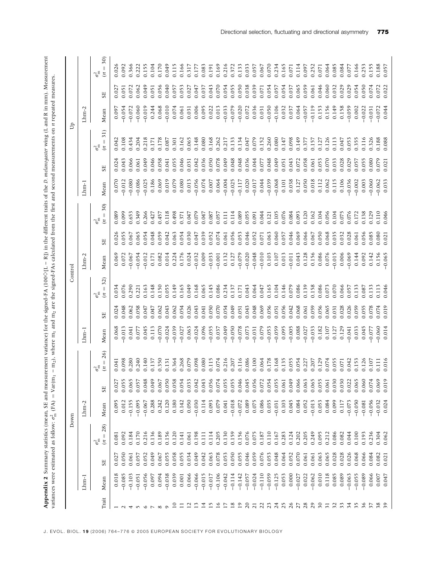|                          |                |       |                                  | Down               |       |                                             |               |       | Control                      |          |             |                                     |          |             |                                                             | <b>B</b>           |                |                                |
|--------------------------|----------------|-------|----------------------------------|--------------------|-------|---------------------------------------------|---------------|-------|------------------------------|----------|-------------|-------------------------------------|----------|-------------|-------------------------------------------------------------|--------------------|----------------|--------------------------------|
|                          | L <sub>h</sub> |       |                                  | $L_{\text{hnn-2}}$ |       |                                             | $L$ $h$ $m-1$ |       |                              | $Lhm-2$  |             |                                     | $Lhm-1$  |             |                                                             | $L_{\text{hnn-2}}$ |                |                                |
| Trait                    | Mean           | SE    | $(n = 28)$<br>$\sigma^2_{\rm m}$ | Mean               | SE    | $= 26$<br>$\sigma_{\rm m}$<br>$\mathcal{L}$ | Mean          |       | $n = 32$<br>$\sigma_{\rm m}$ | Mean     | $_{\rm SE}$ | $= 30$<br>$\sigma_{\rm E}$<br>$\mu$ | Mean     | $_{\rm SE}$ | $\overline{31}$<br>$\parallel$<br>$\sigma_{\rm m}$<br>$\mu$ | Mean               | $_{\rm SE}$    | $(n = 30)$<br>$\sigma_{\rm m}$ |
|                          | 0.018          | 0.027 | 0.081                            | 0.095              | 0.027 | 0.041                                       | 0.068         | 0.024 | 0.034                        | 0.069    | 0.026       | 0.089                               | 0.070    | 0.024       | 0.042                                                       | 0.097              | 0.027          | 0.026                          |
| $\sim$                   | $-0.085$       | 0.050 | 0.092                            | 0.012              | 0.05  | 0.098                                       | $-0.013$      | 0.048 | 0.076                        | 0.072    | 0.055       | 0.099                               | $-0.012$ | 0.043       | 0.108                                                       | $-0.054$           | 0.051          | 0.92                           |
| 4                        | $-0.103$       | 0.061 | 0.184                            | $-0.155$           | 0.065 | 0.280                                       | 0.041         | 0.062 | 0.290                        | $-0.067$ | 0.067       | 0.653                               | $-0.080$ | 0.066       | 0.434                                                       | $-0.072$           | 0.072          | 0.366                          |
| $\sim$                   | $-0.051$       | 0.057 | 0.170                            | $-0.095$           | 0.057 | 0.240                                       | 0.077         | 0.058 | 0.221                        | $-0.054$ | 0.065       | 0.349                               | $-0.086$ | 0.061       | 0.204                                                       | $-0.060$           | 0.062          | 0.222                          |
| $\circ$                  | $-0.056$       | 0.052 | 0.216                            | $-0.067$           | 0.04  | 0.140                                       | 0.045         | 0.047 | 0.163                        | $-0.012$ | 0.054       | 0.266                               | $-0.025$ | 0.049       | 0.218                                                       | $-0.019$           | 0.049          | 0.155                          |
| $\overline{a}$           | 0.097          | 0.049 | 0.136                            | 0.288              | 0.04  | 0.137                                       | 0.113         | 0.047 | 0.148                        | 0.171    | 0.048       | 0.427                               | 0.186    | 0.046       | 0.171                                                       | 0.244              | 0.051          | 0.104                          |
| $\infty$                 | 0.094          | 0.067 | 0.189                            | 0.242              | 0.06  | 0.350                                       | $-0.070$      | 0.062 | 0.150                        | 0.082    | 0.059       | 0.457                               | 0.069    | 0.058       | 0.178                                                       | 0.068              | 0.056          | 0.170                          |
| $\circ$                  | $-0.038$       | 0.055 | 0.156                            | 0.120              | 0.05  | 0.131                                       | $-0.024$      | 0.043 | 0.055                        | 0.014    | 0.042       | 0.118                               | 0.019    | 0.041       | 0.087                                                       | $-0.010$           | 0.040          | 0.049                          |
| $\overline{10}$          | 0.039          | 0.058 | 0.120                            | 0.180              | 0.05  | 0.364                                       | $-0.039$      | 0.062 | 0.149                        | 0.224    | 0.063       | 0.498                               | 0.079    | 0.055       | 0.301                                                       | 0.074              | 0.057          | 0.115                          |
| $\Box$                   | 0.001          | 0.055 | 0.141                            | 0.142              | 0.05  | 0.268                                       | $-0.027$      | 0.54  | 0.165                        | 0.176    | 0.054       | 0.371                               | 0.080    | 0.046       | 0.162                                                       | 0.061              | 0.053          | 0.166                          |
| $\overline{5}$           | 0.066          | 0.034 | 0.061                            | 0.050              | 0.03  | 0.079                                       | 0.063         | 0.026 | 0.049                        | 0.024    | 0.030       | 0.047                               | 0.013    | 0.031       | 0.065                                                       | 0.031              | 0.027          | 0.317                          |
| 13                       | $-0.066$       | 0.049 | 0.198                            | $-0.030$           | 0.04  | 0.098                                       | $-0.024$      | 0.043 | 0.168                        | $-0.032$ | 0.047       | 0.079                               | $-0.056$ | 0.042       | 0.148                                                       | 0.006              | 0.047          | 0.177                          |
| $\overline{14}$          | $-0.015$       | 0.042 | 0.111                            | 0.114              | 0.04  | 0.080                                       | 0.096         | 0.041 | 0.065                        | 0.009    | 0.039       | 0.047                               | 0.074    | 0.036       | 0.080                                                       | 0.095              | 0.037          | 0.083                          |
| 15                       | $-0.017$       | 0.063 | 0.114                            | 0.093              | 0.05  | 0.115                                       | $-0.055$      | 0.050 | 0.145                        | $-0.033$ | 0.052       | 0.087                               | 0.007    | 0.050       | 0.168                                                       | 0.022              | 0.043          | 0.191                          |
| $16$ $17$                | $-0.106$       | 0.078 | 0.205                            | 0.079              | 0.07  | 0.074                                       | 0.037         | 0.070 | 0.086                        | $-0.001$ | 0.074       | 0.057                               | 0.064    | 0.078       | 0.262                                                       | 0.013              | 0.070          | 0.169                          |
|                          | $-0.042$       | 0.053 | 0.130                            | 0.041              | 0.05  | 0.216                                       | $-0.049$      | 0.054 | 0.234                        | 0.132    | 0.061       | 0.111                               | $-0.004$ | 0.049       | 0.217                                                       | $-0.033$           | 0.054          | 0.216                          |
| $^{18}$                  | $-0.114$       | 0.050 | 0.159                            | $-0.018$           | 0.05  | 0.207                                       | $-0.050$      | 0.049 | 0.137                        | 0.127    | 0.056       | 0.114                               | $-0.025$ | 0.048       | 0.133                                                       | $-0.079$           | 0.055          | 0.372                          |
| $\overline{19}$          | $-0.142$       | 0.055 | 0.156                            | $-0.072$           | 0.04  | 0.116                                       | $-0.078$      | 0.051 | 0.171                        | $-0.079$ | 0.053       | 0.089                               | $-0.117$ | 0.048       | 0.134                                                       | $-0.020$           | 0.050          | 0.133                          |
| $\overline{c}$           | $-0.057$       | 0.046 | 0.076                            | 0.089              | 0.04  | 0.086                                       | 0.073         | 0.043 | 0.043                        | $-0.020$ | 0.046       | 0.055                               | 0.020    | 0.036       | 0.047                                                       | 0.072              | 0.038          | 0.033                          |
| $\overline{c}$           | $-0.024$       | 0.059 | 0.075                            | 0.075              | 0.05  | 0.100                                       | $-0.031$      | 0.048 | 0.064                        | $-0.048$ | 0.052       | 0.091                               | $-0.017$ | 0.044       | 0.079                                                       | 0.036              | 0.039<br>0.071 | 0.057                          |
| $\overline{2}$           | $-0.110$       | 0.076 | 0.187                            | 0.086              | 0.07  | 0.064                                       | 0.079         | 0.069 | 0.047                        | $-0.010$ | 0.071       | 0.044                               | 0.044    | 0.077       | 0.152                                                       | 0.031              |                | 0.067                          |
| 23                       | $-0.059$       | 0.053 | 0.110                            | 0.035              | 0.05  | 0.178                                       | $-0.053$      | 0.056 | 0.165                        | 0.103    | 0.063       | 0.121                               | $-0.039$ | 0.048       | 0.260                                                       | $-0.050$           | 0.054          | 0.070                          |
| $\overline{c}$           | $-0.125$       | 0.048 | 0.167                            | $-0.031$           | 0.05  | 0.168                                       | $-0.059$      | .051  | 0.104                        | 0.107    | 0.060       | 0.105                               | $-0.068$ | 0.049       | 0.080                                                       | $-0.106$           | 0.057          | 0.234                          |
|                          | 0.053          | 0.064 | 0.283                            | 0.103              | 0.06  | 0.135                                       | 0.095         | 0.056 | 0.146                        | 0.013    | 0.057       | 0.076                               | 0.101    | 0.051       | 0.147                                                       | 0.032              | 0.054          | 0.165                          |
| $25$<br>$26$<br>$27$     | 0.000          | 0.052 | 0.124                            | 0.045              | 0.04  | 0.055                                       | $-0.005$      | 0.042 | 0.079                        | $-0.011$ | 0.046       | 0.084                               | 0.038    | 0.043       | 0.098                                                       | 0.037              | 0.037          | 0.071                          |
|                          | $-0.027$       | 0.070 | 0.202                            | 0.084              | 0.06  | 0.054                                       | 0.088         | 0.068 | 0.086                        | 0.043    | 0.069       | 0.093                               | 0.127    | 0.072       | 0.149                                                       | 0.064              | 0.065          | 0.114                          |
| 28                       | 0.022          | 0.061 | 0.205                            | 0.052              | 0.06  | 0.227                                       | $-0.027$      | 0.061 | 0.139                        | 0.128    | 0.066       | 0.120                               | 0.050    | 0.058       | 0.377                                                       | $-0.057$           | 0.059          | 0.097                          |
|                          | $-0.062$       | 0.061 | 0.249                            | $-0.013$           | 0.06  | 0.207                                       | $-0.033$      | 0.059 | 0.158                        | 0.156    | 0.067       | 0.162                               | 0.018    | 0.061       | 0.157                                                       | $-0.119$           | 0.061          | 0.252                          |
| 50                       | 0.010          | 0.063 | 0.095                            | 0.053              | 0.05  | 0.129                                       | 0.182         | 0.056 | 0.086                        | 0.086    | 0.050       | 0.104                               | 0.112    | 0.053       | 0.127                                                       | 0.153              | 0.046          | 0.071                          |
| $\overline{31}$          | 0.118          | 0.065 | 0.212                            | 0.084              | 0.061 | 0.074                                       | 0.107         | 0.065 | 0.073                        | 0.076    | 0.068       | 0.056                               | 0.062    | 0.070       | 0.126                                                       | 0.156              | 0.060<br>0.032 | 0.064                          |
| $\overline{\mathcal{Z}}$ | 0.085          | 0.028 | 0.086                            | 0.099              | 0.03  | 0.055                                       | 0.127         | 0.031 | 0.070                        | $-0.015$ | 0.035       | 0.104                               | 0.115    | 0.033       | 0.113                                                       | 0.149              |                | 0.085                          |
| $\mathfrak{Z}$           | 0.089          | 0.028 | 0.082                            | 0.117              | 0.03  | 0.071                                       | 0.129         | 0.028 | 0.066                        | 0.006    | 0.032       | 0.075                               | 0.106    | 0.028       | 0.047                                                       | 0.158              | 0.029          | 0.084                          |
| 34                       | $-0.063$       | 0.026 | 0.044                            | $-0.073$           | 0.02  | 0.042                                       | $-0.041$      | 0.026 | 0.057                        | $-0.069$ | 0.028       | 0.076                               | $-0.036$ | 0.029       | 0.053                                                       | $-0.059$           | 0.029          | 0.077                          |
| 35                       | $-0.055$       | 0.068 | 0.100                            | $-0.050$           | 0.06  | 0.153                                       | 0.033         | 0.059 | 0.133                        | 0.144    | 0.061       | 0.172                               | $-0.002$ | 0.057       | 0.355                                                       | 0.002              | 0.054          | 0.166                          |
| 36                       | $-0.089$       | 0.066 | 0.193                            | $-0.081$           | 0.06  | 0.126                                       | 0.045         | 0.055 | 0.087                        | 0.092    | 0.056       | 0.138                               | 0.003    | 0.055       | 0.116                                                       | $-0.022$           | 0.050          | 0.253                          |
| 37                       | 0.066          | 0.084 | 0.236                            | $-0.056$           | 0.07  | 0.107                                       | $-0.077$      | 0.78  | 0.133                        | 0.142    | 0.85        | 0.129                               | $-0.060$ | 0.080       | 0.326                                                       | $-0.031$           | 0.074          | 0.155                          |
|                          | 0.007          | 0.082 | 0.304                            | $-0.032$           | 0.06  | 0.111                                       | $-0.060$      | 0.074 | 0.113                        | 0.156    | 0.080       | 0.110                               | $-0.062$ | 0.079       | 0.188                                                       | $-0.072$           | 0.72           | 0.188                          |
|                          | 0.047          | 0.021 | 0.062                            | 0.024              | 0.01  | 0.016                                       | 0.014         | 0.019 | 0.046                        | $-0.065$ | 0.021       | 0.046                               | 0.033    | 0.021       | 0.88                                                        | 0.044              | 0.022          | 0.057                          |